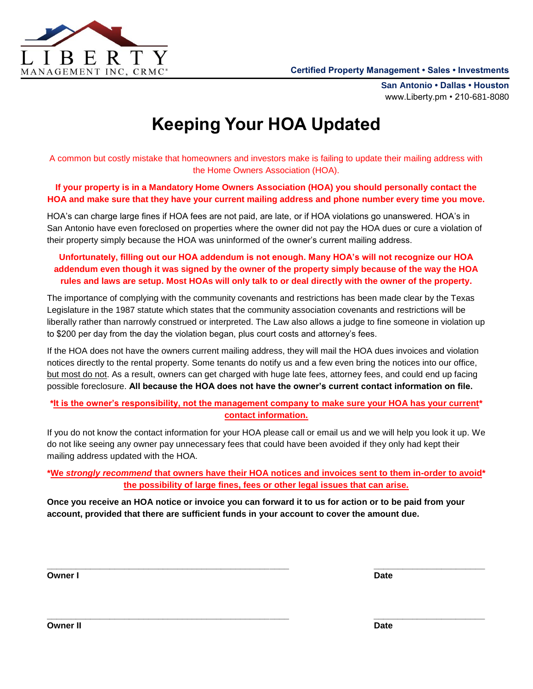

**San Antonio • Dallas • Houston** www.Liberty.pm • 210-681-8080

# **Keeping Your HOA Updated**

A common but costly mistake that homeowners and investors make is failing to update their mailing address with the Home Owners Association (HOA).

#### **If your property is in a Mandatory Home Owners Association (HOA) you should personally contact the HOA and make sure that they have your current mailing address and phone number every time you move.**

HOA's can charge large fines if HOA fees are not paid, are late, or if HOA violations go unanswered. HOA's in San Antonio have even foreclosed on properties where the owner did not pay the HOA dues or cure a violation of their property simply because the HOA was uninformed of the owner's current mailing address.

## **Unfortunately, filling out our HOA addendum is not enough. Many HOA's will not recognize our HOA addendum even though it was signed by the owner of the property simply because of the way the HOA rules and laws are setup. Most HOAs will only talk to or deal directly with the owner of the property.**

The importance of complying with the community covenants and restrictions has been made clear by the Texas Legislature in the 1987 statute which states that the community association covenants and restrictions will be liberally rather than narrowly construed or interpreted. The Law also allows a judge to fine someone in violation up to \$200 per day from the day the violation began, plus court costs and attorney's fees.

If the HOA does not have the owners current mailing address, they will mail the HOA dues invoices and violation notices directly to the rental property. Some tenants do notify us and a few even bring the notices into our office, but most do not. As a result, owners can get charged with huge late fees, attorney fees, and could end up facing possible foreclosure. **All because the HOA does not have the owner's current contact information on file.**

### **\*It is the owner's responsibility, not the management company to make sure your HOA has your current\* contact information.**

If you do not know the contact information for your HOA please call or email us and we will help you look it up. We do not like seeing any owner pay unnecessary fees that could have been avoided if they only had kept their mailing address updated with the HOA.

**\*We** *strongly recommend* **that owners have their HOA notices and invoices sent to them in-order to avoid\* the possibility of large fines, fees or other legal issues that can arise.**

**\_\_\_\_\_\_\_\_\_\_\_\_\_\_\_\_\_\_\_\_\_\_\_\_\_\_\_\_\_\_\_\_\_\_\_\_\_\_\_\_\_\_\_\_\_\_\_\_\_\_ \_\_\_\_\_\_\_\_\_\_\_\_\_\_\_\_\_\_\_\_\_\_\_**

**Once you receive an HOA notice or invoice you can forward it to us for action or to be paid from your account, provided that there are sufficient funds in your account to cover the amount due.**

**Owner I** Date **Date In the United States of the United States of the United States of the United States of the U** 

**\_\_\_\_\_\_\_\_\_\_\_\_\_\_\_\_\_\_\_\_\_\_\_\_\_\_\_\_\_\_\_\_\_\_\_\_\_\_\_\_\_\_\_\_\_\_\_\_\_\_ \_\_\_\_\_\_\_\_\_\_\_\_\_\_\_\_\_\_\_\_\_\_\_**

**Owner II Date**